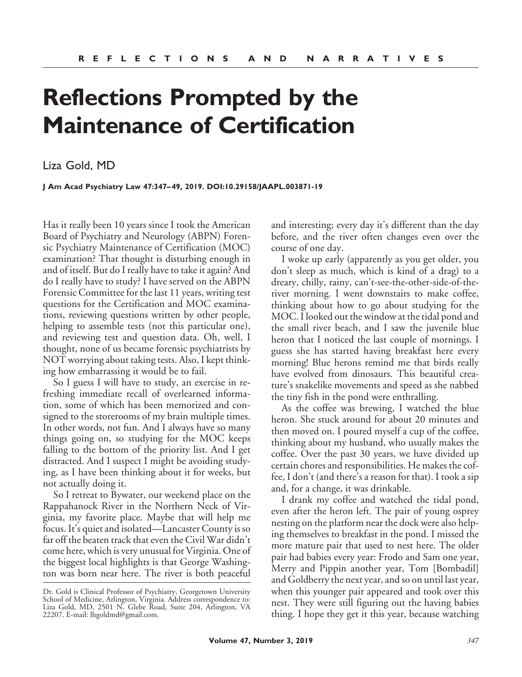## **Reflections Prompted by the Maintenance of Certification**

## Liza Gold, MD

**J Am Acad Psychiatry Law 47:347– 49, 2019. DOI:10.29158/JAAPL.003871-19**

Has it really been 10 years since I took the American Board of Psychiatry and Neurology (ABPN) Forensic Psychiatry Maintenance of Certification (MOC) examination? That thought is disturbing enough in and of itself. But do I really have to take it again? And do I really have to study? I have served on the ABPN Forensic Committee for the last 11 years, writing test questions for the Certification and MOC examinations, reviewing questions written by other people, helping to assemble tests (not this particular one), and reviewing test and question data. Oh, well, I thought, none of us became forensic psychiatrists by NOT worrying about taking tests. Also, I kept thinking how embarrassing it would be to fail.

So I guess I will have to study, an exercise in refreshing immediate recall of overlearned information, some of which has been memorized and consigned to the storerooms of my brain multiple times. In other words, not fun. And I always have so many things going on, so studying for the MOC keeps falling to the bottom of the priority list. And I get distracted. And I suspect I might be avoiding studying, as I have been thinking about it for weeks, but not actually doing it.

So I retreat to Bywater, our weekend place on the Rappahanock River in the Northern Neck of Virginia, my favorite place. Maybe that will help me focus. It's quiet and isolated—Lancaster County is so far off the beaten track that even the Civil War didn't come here, which is very unusual for Virginia. One of the biggest local highlights is that George Washington was born near here. The river is both peaceful

and interesting; every day it's different than the day before, and the river often changes even over the course of one day.

I woke up early (apparently as you get older, you don't sleep as much, which is kind of a drag) to a dreary, chilly, rainy, can't-see-the-other-side-of-theriver morning. I went downstairs to make coffee, thinking about how to go about studying for the MOC. I looked out the window at the tidal pond and the small river beach, and I saw the juvenile blue heron that I noticed the last couple of mornings. I guess she has started having breakfast here every morning! Blue herons remind me that birds really have evolved from dinosaurs. This beautiful creature's snakelike movements and speed as she nabbed the tiny fish in the pond were enthralling.

As the coffee was brewing, I watched the blue heron. She stuck around for about 20 minutes and then moved on. I poured myself a cup of the coffee, thinking about my husband, who usually makes the coffee. Over the past 30 years, we have divided up certain chores and responsibilities. He makes the coffee, I don't (and there's a reason for that). I took a sip and, for a change, it was drinkable.

I drank my coffee and watched the tidal pond, even after the heron left. The pair of young osprey nesting on the platform near the dock were also helping themselves to breakfast in the pond. I missed the more mature pair that used to nest here. The older pair had babies every year: Frodo and Sam one year, Merry and Pippin another year, Tom [Bombadil] and Goldberry the next year, and so on until last year, when this younger pair appeared and took over this nest. They were still figuring out the having babies thing. I hope they get it this year, because watching

Dr. Gold is Clinical Professor of Psychiatry, Georgetown University School of Medicine, Arlington, Virginia. Address correspondence to: Liza Gold, MD, 2501 N. Glebe Road, Suite 204, Arlington, VA 22207. E-mail: lhgoldmd@gmail.com.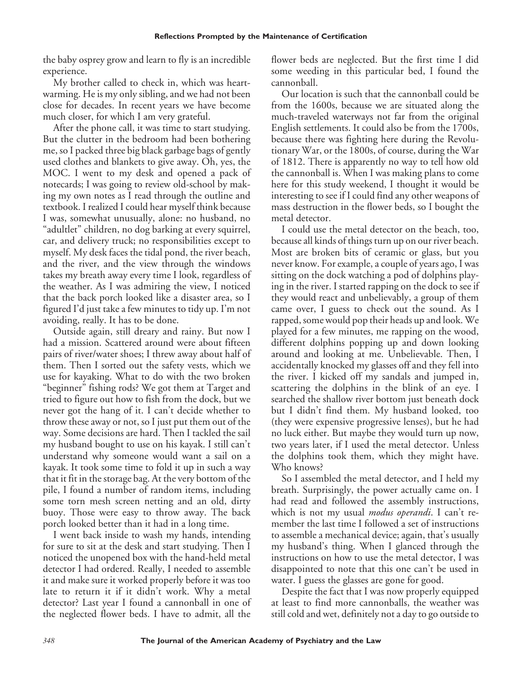the baby osprey grow and learn to fly is an incredible experience.

My brother called to check in, which was heartwarming. He is my only sibling, and we had not been close for decades. In recent years we have become much closer, for which I am very grateful.

After the phone call, it was time to start studying. But the clutter in the bedroom had been bothering me, so I packed three big black garbage bags of gently used clothes and blankets to give away. Oh, yes, the MOC. I went to my desk and opened a pack of notecards; I was going to review old-school by making my own notes as I read through the outline and textbook. I realized I could hear myself think because I was, somewhat unusually, alone: no husband, no "adultlet" children, no dog barking at every squirrel, car, and delivery truck; no responsibilities except to myself. My desk faces the tidal pond, the river beach, and the river, and the view through the windows takes my breath away every time I look, regardless of the weather. As I was admiring the view, I noticed that the back porch looked like a disaster area, so I figured I'd just take a few minutes to tidy up. I'm not avoiding, really. It has to be done.

Outside again, still dreary and rainy. But now I had a mission. Scattered around were about fifteen pairs of river/water shoes; I threw away about half of them. Then I sorted out the safety vests, which we use for kayaking. What to do with the two broken "beginner" fishing rods? We got them at Target and tried to figure out how to fish from the dock, but we never got the hang of it. I can't decide whether to throw these away or not, so I just put them out of the way. Some decisions are hard. Then I tackled the sail my husband bought to use on his kayak. I still can't understand why someone would want a sail on a kayak. It took some time to fold it up in such a way that it fit in the storage bag. At the very bottom of the pile, I found a number of random items, including some torn mesh screen netting and an old, dirty buoy. Those were easy to throw away. The back porch looked better than it had in a long time.

I went back inside to wash my hands, intending for sure to sit at the desk and start studying. Then I noticed the unopened box with the hand-held metal detector I had ordered. Really, I needed to assemble it and make sure it worked properly before it was too late to return it if it didn't work. Why a metal detector? Last year I found a cannonball in one of the neglected flower beds. I have to admit, all the flower beds are neglected. But the first time I did some weeding in this particular bed, I found the cannonball.

Our location is such that the cannonball could be from the 1600s, because we are situated along the much-traveled waterways not far from the original English settlements. It could also be from the 1700s, because there was fighting here during the Revolutionary War, or the 1800s, of course, during the War of 1812. There is apparently no way to tell how old the cannonball is. When I was making plans to come here for this study weekend, I thought it would be interesting to see if I could find any other weapons of mass destruction in the flower beds, so I bought the metal detector.

I could use the metal detector on the beach, too, because all kinds of things turn up on our river beach. Most are broken bits of ceramic or glass, but you never know. For example, a couple of years ago, I was sitting on the dock watching a pod of dolphins playing in the river. I started rapping on the dock to see if they would react and unbelievably, a group of them came over, I guess to check out the sound. As I rapped, some would pop their heads up and look. We played for a few minutes, me rapping on the wood, different dolphins popping up and down looking around and looking at me. Unbelievable. Then, I accidentally knocked my glasses off and they fell into the river. I kicked off my sandals and jumped in, scattering the dolphins in the blink of an eye. I searched the shallow river bottom just beneath dock but I didn't find them. My husband looked, too (they were expensive progressive lenses), but he had no luck either. But maybe they would turn up now, two years later, if I used the metal detector. Unless the dolphins took them, which they might have. Who knows?

So I assembled the metal detector, and I held my breath. Surprisingly, the power actually came on. I had read and followed the assembly instructions, which is not my usual *modus operandi*. I can't remember the last time I followed a set of instructions to assemble a mechanical device; again, that's usually my husband's thing. When I glanced through the instructions on how to use the metal detector, I was disappointed to note that this one can't be used in water. I guess the glasses are gone for good.

Despite the fact that I was now properly equipped at least to find more cannonballs, the weather was still cold and wet, definitely not a day to go outside to